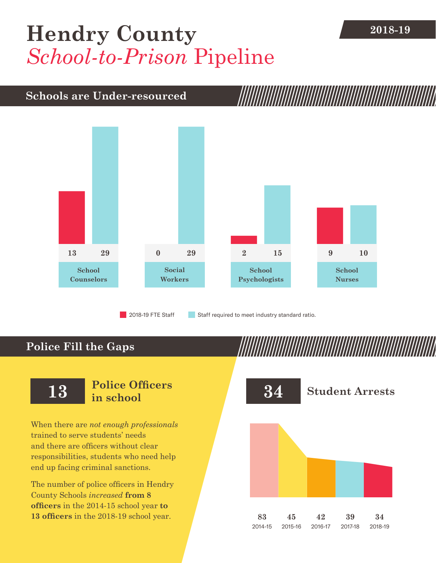## [Hendry County](DBF_County) **2018-19** *School-to-Prison* Pipeline

### **Schools are Under-resourced**



2018-19 FTE Staff **Staff required to meet industry standard ratio.** 

## **Police Fill the Gaps**

When there are *not enough professionals* trained to serve students' needs and there are officers without clear responsibilities, students who need help end up facing criminal sanctions.

The number of police officers in [Hendry](DBF_County)  [County](DBF_County) Schools *increased* **from [8](DBF_PO1415) officers** in the 2014-15 school year **to [13](DBF_PO) officers** in the 2018-19 school year.